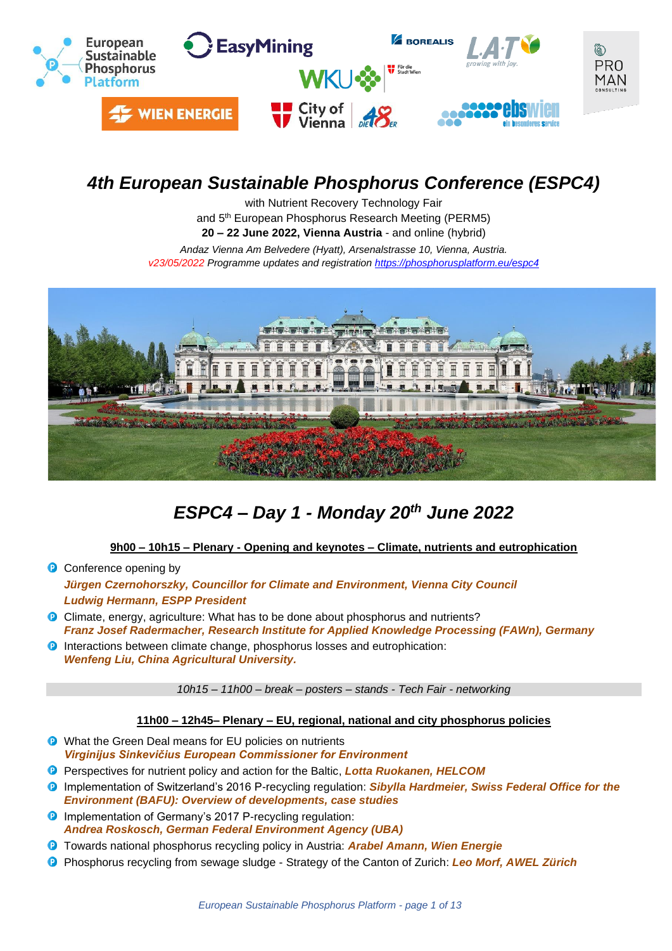

# *4th European Sustainable Phosphorus Conference (ESPC4)*

with Nutrient Recovery Technology Fair and 5th European Phosphorus Research Meeting (PERM5) **20 – 22 June 2022, Vienna Austria** - and online (hybrid)

*Andaz Vienna Am Belvedere (Hyatt), Arsenalstrasse 10, Vienna, Austria. v23/05/2022 Programme updates and registration<https://phosphorusplatform.eu/espc4>*



# *ESPC4 – Day 1 - Monday 20th June 2022*

### **9h00 – 10h15 – Plenary - Opening and keynotes – Climate, nutrients and eutrophication**

**C** Conference opening by

*Jürgen Czernohorszky, Councillor for Climate and Environment, Vienna City Council Ludwig Hermann, ESPP President*

- Climate, energy, agriculture: What has to be done about phosphorus and nutrients? *Franz Josef Radermacher, Research Institute for Applied Knowledge Processing (FAWn), Germany*
- **D** Interactions between climate change, phosphorus losses and eutrophication: *Wenfeng Liu, China Agricultural University.*

*10h15 – 11h00 – break – posters – stands - Tech Fair - networking*

### **11h00 – 12h45– Plenary – EU, regional, national and city phosphorus policies**

- **D** What the Green Deal means for EU policies on nutrients *Virginijus Sinkevičius European Commissioner for Environment*
- Perspectives for nutrient policy and action for the Baltic, *Lotta Ruokanen, HELCOM*
- Implementation of Switzerland's 2016 P-recycling regulation: *Sibylla Hardmeier, Swiss Federal Office for the Environment (BAFU): Overview of developments, case studies*
- **D** Implementation of Germany's 2017 P-recycling regulation: *Andrea Roskosch, German Federal Environment Agency (UBA)*
- Towards national phosphorus recycling policy in Austria: *Arabel Amann, Wien Energie*
- Phosphorus recycling from sewage sludge Strategy of the Canton of Zurich: *Leo Morf, AWEL Zürich*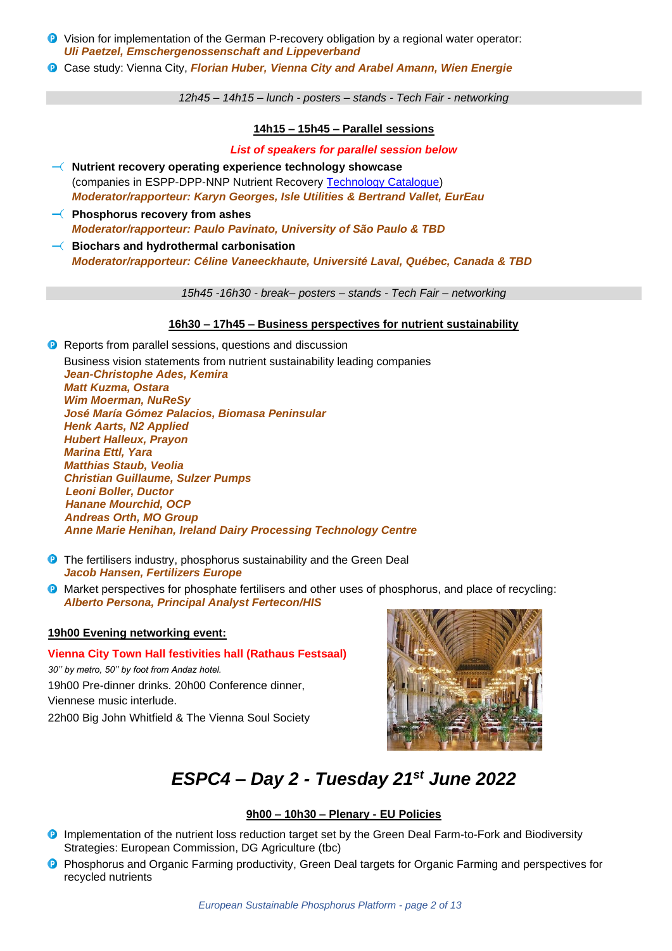- Vision for implementation of the German P-recovery obligation by a regional water operator: *Uli Paetzel, Emschergenossenschaft and Lippeverband*
- Case study: Vienna City, *Florian Huber, Vienna City and Arabel Amann, Wien Energie*

*12h45 – 14h15 – lunch - posters – stands - Tech Fair - networking*

### **14h15 – 15h45 – Parallel sessions**

*List of speakers for parallel session below*

- **Nutrient recovery operating experience technology showcase** (companies in ESPP-DPP-NNP Nutrient Recovery [Technology Catalogue\)](http://www.phosphorusplatform.eu/p-recovery-technology-inventory) *Moderator/rapporteur: Karyn Georges, Isle Utilities & Bertrand Vallet, EurEau*
- **Phosphorus recovery from ashes** *Moderator/rapporteur: Paulo Pavinato, University of São Paulo & TBD*
- **Biochars and hydrothermal carbonisation** *Moderator/rapporteur: Céline Vaneeckhaute, Université Laval, Québec, Canada & TBD*

*15h45 -16h30 - break– posters – stands - Tech Fair – networking*

### **16h30 – 17h45 – Business perspectives for nutrient sustainability**

**P** Reports from parallel sessions, questions and discussion

Business vision statements from nutrient sustainability leading companies *Jean-Christophe Ades, Kemira Matt Kuzma, Ostara Wim Moerman, NuReSy José María Gómez Palacios, Biomasa Peninsular Henk Aarts, N2 Applied Hubert Halleux, Prayon Marina Ettl, Yara Matthias Staub, Veolia Christian Guillaume, Sulzer Pumps Leoni Boller, Ductor Hanane Mourchid, OCP Andreas Orth, MO Group Anne Marie Henihan, Ireland Dairy Processing Technology Centre* 

- **P** The fertilisers industry, phosphorus sustainability and the Green Deal *Jacob Hansen, Fertilizers Europe*
- **O** Market perspectives for phosphate fertilisers and other uses of phosphorus, and place of recycling: *Alberto Persona, Principal Analyst Fertecon/HIS*

### **19h00 Evening networking event:**

**Vienna City Town Hall festivities hall (Rathaus Festsaal)** *30'' by metro, 50'' by foot from Andaz hotel.* 19h00 Pre-dinner drinks. 20h00 Conference dinner, Viennese music interlude. 22h00 Big John Whitfield & The Vienna Soul Society



# *ESPC4 – Day 2 - Tuesday 21st June 2022*

### **9h00 – 10h30 – Plenary - EU Policies**

- **D** Implementation of the nutrient loss reduction target set by the Green Deal Farm-to-Fork and Biodiversity Strategies: European Commission, DG Agriculture (tbc)
- **P** Phosphorus and Organic Farming productivity, Green Deal targets for Organic Farming and perspectives for recycled nutrients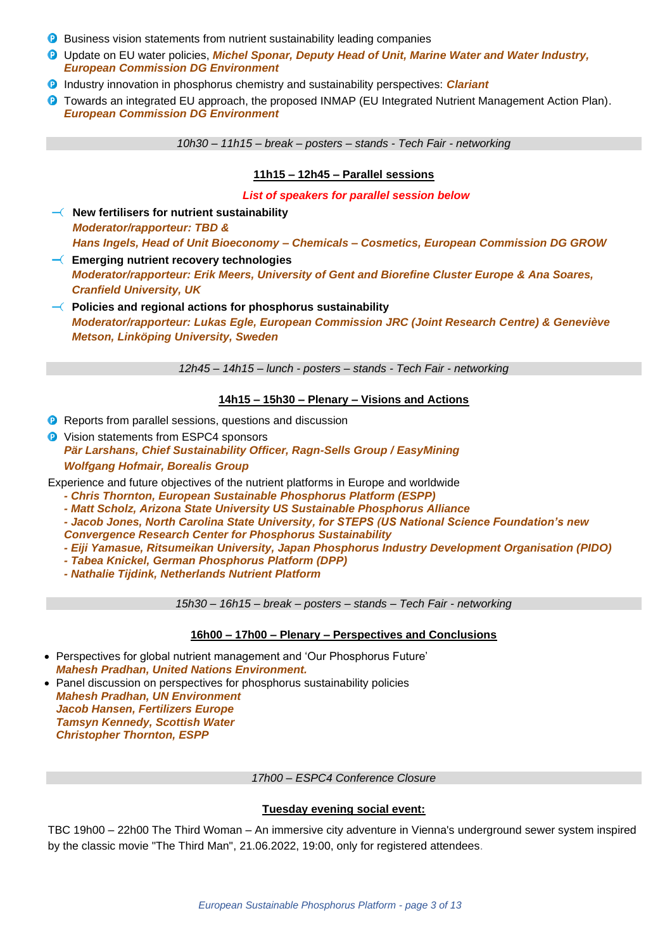- **B** Business vision statements from nutrient sustainability leading companies
- **<sup>0</sup>** Update on EU water policies, *Michel Sponar, Deputy Head of Unit, Marine Water and Water Industry, European Commission DG Environment*
- Industry innovation in phosphorus chemistry and sustainability perspectives: *Clariant*
- **O** Towards an integrated EU approach, the proposed INMAP (EU Integrated Nutrient Management Action Plan). *European Commission DG Environment*

*10h30 – 11h15 – break – posters – stands - Tech Fair - networking*

### **11h15 – 12h45 – Parallel sessions**

*List of speakers for parallel session below*

 $\overline{\phantom{a}}$  New fertilisers for nutrient sustainability *Moderator/rapporteur: TBD & Hans Ingels, Head of Unit Bioeconomy – Chemicals – Cosmetics, European Commission DG GROW*

**Emerging nutrient recovery technologies** *Moderator/rapporteur: Erik Meers, University of Gent and Biorefine Cluster Europe & Ana Soares, Cranfield University, UK*

**Policies and regional actions for phosphorus sustainability** *Moderator/rapporteur: Lukas Egle, European Commission JRC (Joint Research Centre) & Geneviève Metson, Linköping University, Sweden*

*12h45 – 14h15 – lunch - posters – stands - Tech Fair - networking*

### **14h15 – 15h30 – Plenary – Visions and Actions**

- **P** Reports from parallel sessions, questions and discussion
- **D** Vision statements from ESPC4 sponsors *Pär Larshans, Chief Sustainability Officer, Ragn-Sells Group / EasyMining Wolfgang Hofmair, Borealis Group*

Experience and future objectives of the nutrient platforms in Europe and worldwide

- *- Chris Thornton, European Sustainable Phosphorus Platform (ESPP)*
- *- Matt Scholz, Arizona State University US Sustainable Phosphorus Alliance*
- *- Jacob Jones, North Carolina State University, for STEPS (US National Science Foundation's new*
- *Convergence Research Center for Phosphorus Sustainability*
- *- Eiji Yamasue, Ritsumeikan University, Japan Phosphorus Industry Development Organisation (PIDO)*
- *- Tabea Knickel, German Phosphorus Platform (DPP)*
- *- Nathalie Tijdink, Netherlands Nutrient Platform*

*15h30 – 16h15 – break – posters – stands – Tech Fair - networking*

### **16h00 – 17h00 – Plenary – Perspectives and Conclusions**

- Perspectives for global nutrient management and 'Our Phosphorus Future' *Mahesh Pradhan, United Nations Environment.*
- Panel discussion on perspectives for phosphorus sustainability policies *Mahesh Pradhan, UN Environment Jacob Hansen, Fertilizers Europe Tamsyn Kennedy, Scottish Water Christopher Thornton, ESPP*

*17h00 – ESPC4 Conference Closure*

### **Tuesday evening social event:**

TBC 19h00 – 22h00 The Third Woman – An immersive city adventure in Vienna's underground sewer system inspired by the classic movie "The Third Man", 21.06.2022, 19:00, only for registered attendees.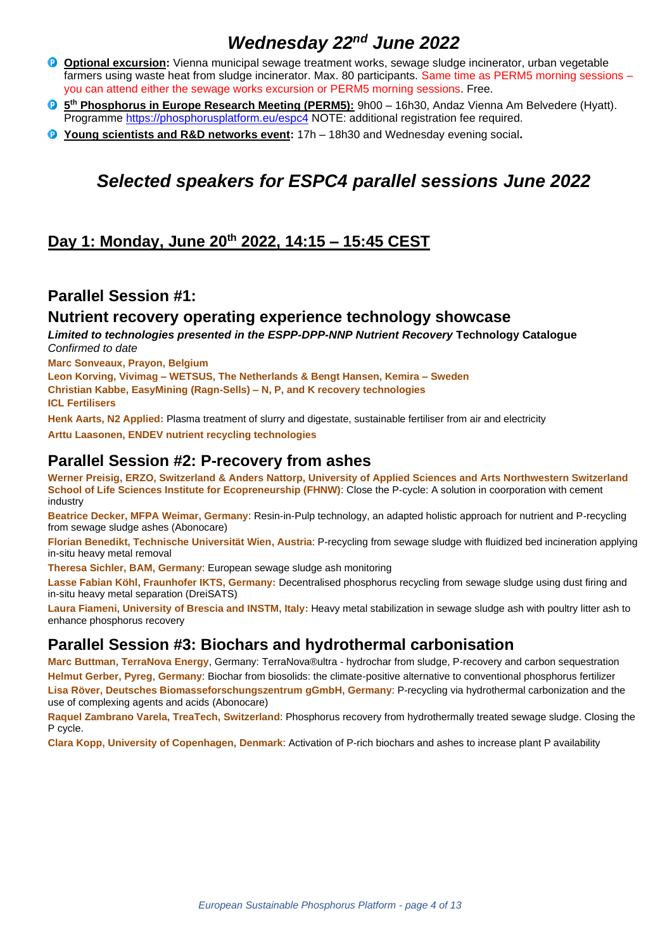# *Wednesday 22nd June 2022*

- **Optional excursion:** Vienna municipal sewage treatment works, sewage sludge incinerator, urban vegetable farmers using waste heat from sludge incinerator. Max. 80 participants. Same time as PERM5 morning sessions – you can attend either the sewage works excursion or PERM5 morning sessions. Free.
- **5 th Phosphorus in Europe Research Meeting (PERM5):** 9h00 16h30, Andaz Vienna Am Belvedere (Hyatt). Programme<https://phosphorusplatform.eu/espc4> NOTE: additional registration fee required.
- **Young scientists and R&D networks event:** 17h 18h30 and Wednesday evening social**.**

# *Selected speakers for ESPC4 parallel sessions June 2022*

# **Day 1: Monday, June 20th 2022, 14:15 – 15:45 CEST**

### **Parallel Session #1:**

### **Nutrient recovery operating experience technology showcase**

*Limited to technologies presented in the ESPP-DPP-NNP Nutrient Recovery* **[Technology Catalogue](http://www.phosphorusplatform.eu/p-recovery-technology-inventory)** *Confirmed to date*

**Marc Sonveaux, Prayon, Belgium**

**Leon Korving, Vivimag – WETSUS, The Netherlands & Bengt Hansen, Kemira – Sweden Christian Kabbe, EasyMining (Ragn-Sells) – N, P, and K recovery technologies ICL Fertilisers**

**Henk Aarts, N2 Applied:** Plasma treatment of slurry and digestate, sustainable fertiliser from air and electricity

**Arttu Laasonen, ENDEV nutrient recycling technologies**

### **Parallel Session #2: P-recovery from ashes**

**Werner Preisig, ERZO, Switzerland & Anders Nattorp, University of Applied Sciences and Arts Northwestern Switzerland School of Life Sciences Institute for Ecopreneurship (FHNW):** Close the P-cycle: A solution in coorporation with cement industry

**Beatrice Decker, MFPA Weimar, Germany**: Resin-in-Pulp technology, an adapted holistic approach for nutrient and P-recycling from sewage sludge ashes (Abonocare)

**Florian Benedikt, Technische Universität Wien, Austria**: P-recycling from sewage sludge with fluidized bed incineration applying in-situ heavy metal removal

**Theresa Sichler, BAM, Germany**: European sewage sludge ash monitoring

**Lasse Fabian Köhl, Fraunhofer IKTS, Germany:** Decentralised phosphorus recycling from sewage sludge using dust firing and in-situ heavy metal separation (DreiSATS)

**Laura Fiameni, University of Brescia and INSTM, Italy:** Heavy metal stabilization in sewage sludge ash with poultry litter ash to enhance phosphorus recovery

### **Parallel Session #3: Biochars and hydrothermal carbonisation**

**Marc Buttman, TerraNova Energy**, Germany: TerraNova®ultra - hydrochar from sludge, P-recovery and carbon sequestration **Helmut Gerber, Pyreg**, **Germany**: Biochar from biosolids: the climate-positive alternative to conventional phosphorus fertilizer **Lisa Röver, Deutsches Biomasseforschungszentrum gGmbH, Germany**: P-recycling via hydrothermal carbonization and the use of complexing agents and acids (Abonocare)

**Raquel Zambrano Varela, TreaTech, Switzerland**: Phosphorus recovery from hydrothermally treated sewage sludge. Closing the P cycle.

**Clara Kopp, University of Copenhagen, Denmark**: Activation of P-rich biochars and ashes to increase plant P availability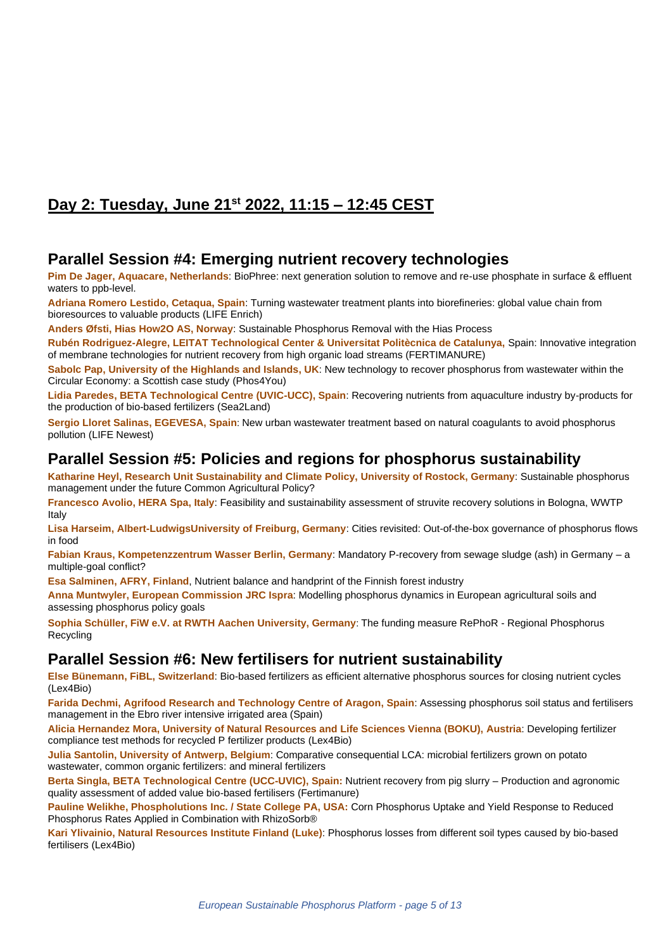# **Day 2: Tuesday, June 21 st 2022, 11:15 – 12:45 CEST**

### **Parallel Session #4: Emerging nutrient recovery technologies**

**Pim De Jager, Aquacare, Netherlands**: BioPhree: next generation solution to remove and re-use phosphate in surface & effluent waters to ppb-level.

**Adriana Romero Lestido, Cetaqua, Spain**: Turning wastewater treatment plants into biorefineries: global value chain from bioresources to valuable products (LIFE Enrich)

**Anders Øfsti, Hias How2O AS, Norway**: Sustainable Phosphorus Removal with the Hias Process

**Rubén Rodriguez-Alegre, LEITAT Technological Center & Universitat Politècnica de Catalunya,** Spain: Innovative integration of membrane technologies for nutrient recovery from high organic load streams (FERTIMANURE)

**Sabolc Pap, University of the Highlands and Islands, UK**: New technology to recover phosphorus from wastewater within the Circular Economy: a Scottish case study (Phos4You)

**Lidia Paredes, BETA Technological Centre (UVIC-UCC), Spain**: Recovering nutrients from aquaculture industry by-products for the production of bio-based fertilizers (Sea2Land)

**Sergio Lloret Salinas, EGEVESA, Spain**: New urban wastewater treatment based on natural coagulants to avoid phosphorus pollution (LIFE Newest)

### **Parallel Session #5: Policies and regions for phosphorus sustainability**

**Katharine Heyl, Research Unit Sustainability and Climate Policy, University of Rostock, Germany**: Sustainable phosphorus management under the future Common Agricultural Policy?

**Francesco Avolio, HERA Spa, Italy**: Feasibility and sustainability assessment of struvite recovery solutions in Bologna, WWTP Italy

**Lisa Harseim, Albert-LudwigsUniversity of Freiburg, Germany**: Cities revisited: Out-of-the-box governance of phosphorus flows in food

**Fabian Kraus, Kompetenzzentrum Wasser Berlin, Germany**: Mandatory P-recovery from sewage sludge (ash) in Germany – a multiple-goal conflict?

**Esa Salminen, AFRY, Finland**, Nutrient balance and handprint of the Finnish forest industry

**Anna Muntwyler, European Commission JRC Ispra**: Modelling phosphorus dynamics in European agricultural soils and assessing phosphorus policy goals

**Sophia Schüller, FiW e.V. at RWTH Aachen University, Germany**: The funding measure RePhoR - Regional Phosphorus Recycling

## **Parallel Session #6: New fertilisers for nutrient sustainability**

**Else Bünemann, FiBL, Switzerland**: Bio-based fertilizers as efficient alternative phosphorus sources for closing nutrient cycles (Lex4Bio)

**Farida Dechmi, Agrifood Research and Technology Centre of Aragon, Spain**: Assessing phosphorus soil status and fertilisers management in the Ebro river intensive irrigated area (Spain)

**Alicia Hernandez Mora, University of Natural Resources and Life Sciences Vienna (BOKU), Austria**: Developing fertilizer compliance test methods for recycled P fertilizer products (Lex4Bio)

**Julia Santolin, University of Antwerp, Belgium**: Comparative consequential LCA: microbial fertilizers grown on potato wastewater, common organic fertilizers: and mineral fertilizers

**Berta Singla, BETA Technological Centre (UCC-UVIC), Spain:** Nutrient recovery from pig slurry – Production and agronomic quality assessment of added value bio-based fertilisers (Fertimanure)

**Pauline Welikhe, Phospholutions Inc. / State College PA, USA:** Corn Phosphorus Uptake and Yield Response to Reduced Phosphorus Rates Applied in Combination with RhizoSorb®

**Kari Ylivainio, Natural Resources Institute Finland (Luke)**: Phosphorus losses from different soil types caused by bio-based fertilisers (Lex4Bio)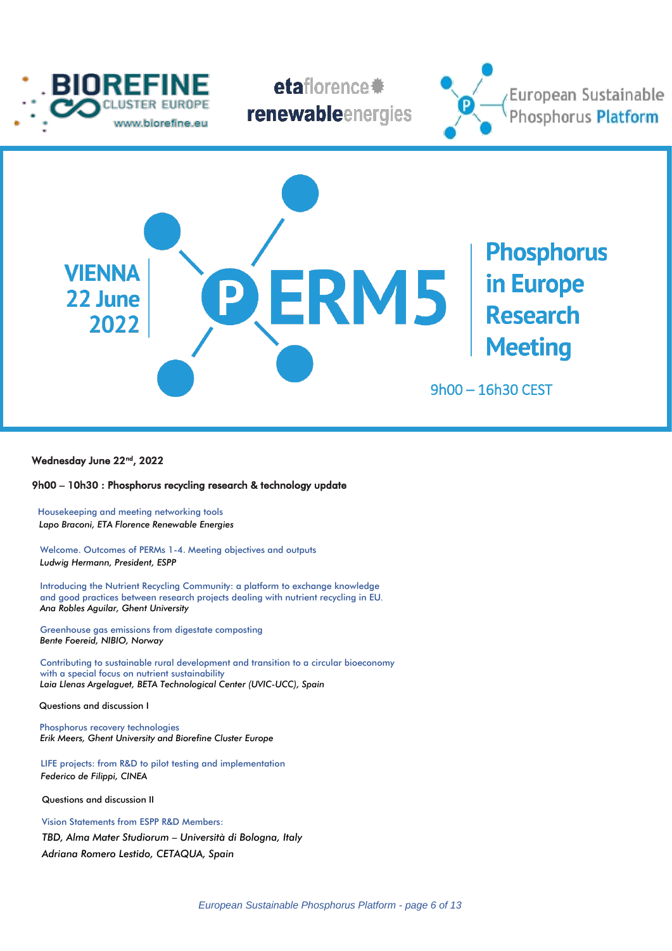







### Wednesday June 22<sup>nd</sup>, 2022

I

### 9h00 – 10h30 : Phosphorus recycling research & technology update

**Housekeeping and meeting networking tools** *Lapo Braconi, ETA Florence Renewable Energies*

Welcome. Outcomes of PERMs 1-4. Meeting objectives and outputs  *Ludwig Hermann, President, ESPP*

 Introducing the Nutrient Recycling Community: a platform to exchange knowledge and good practices between research projects dealing with nutrient recycling in EU*. Ana Robles Aguilar, Ghent University*

Greenhouse gas emissions from digestate composting  *Bente Foereid, NIBIO, Norway*

Contributing to sustainable rural development and transition to a circular bioeconomy with a special focus on nutrient sustainability  *Laia Llenas Argelaguet, BETA Technological Center (UVIC-UCC), Spain*

Questions and discussion I

 Phosphorus recovery technologies  *Erik Meers, Ghent University and Biorefine Cluster Europe* 

 LIFE projects: from R&D to pilot testing and implementation  *Federico de Filippi, CINEA*

Questions and discussion II

Vision Statements from ESPP R&D Members: *TBD, Alma Mater Studiorum – Università di Bologna, Italy Adriana Romero Lestido, CETAQUA, Spain*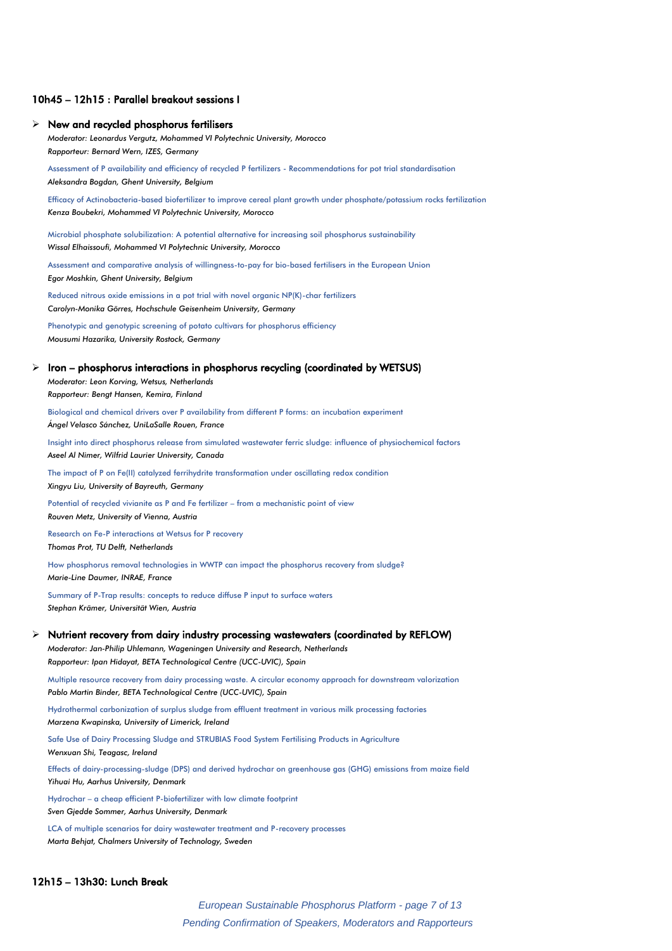#### 10h45 – 12h15 : Parallel breakout sessions I

### $\triangleright$  New and recycled phosphorus fertilisers

*Moderator: Leonardus Vergutz, Mohammed VI Polytechnic University, Morocco Rapporteur: Bernard Wern, IZES, Germany*

Assessment of P availability and efficiency of recycled P fertilizers - Recommendations for pot trial standardisation *Aleksandra Bogdan, Ghent University, Belgium*

Efficacy of Actinobacteria-based biofertilizer to improve cereal plant growth under phosphate/potassium rocks fertilization *Kenza Boubekri, Mohammed VI Polytechnic University, Morocco*

Microbial phosphate solubilization: A potential alternative for increasing soil phosphorus sustainability *Wissal Elhaissoufi, Mohammed VI Polytechnic University, Morocco*

Assessment and comparative analysis of willingness-to-pay for bio-based fertilisers in the European Union *Egor Moshkin, Ghent University, Belgium*

Reduced nitrous oxide emissions in a pot trial with novel organic NP(K)-char fertilizers *Carolyn-Monika Görres, Hochschule Geisenheim University, Germany*

Phenotypic and genotypic screening of potato cultivars for phosphorus efficiency *Mousumi Hazarika, University Rostock, Germany*

#### ➢ Iron – phosphorus interactions in phosphorus recycling (coordinated by WETSUS)

*Moderator: Leon Korving, Wetsus, Netherlands Rapporteur: Bengt Hansen, Kemira, Finland*

Biological and chemical drivers over P availability from different P forms: an incubation experiment *Ángel Velasco Sánchez, UniLaSalle Rouen, France*

Insight into direct phosphorus release from simulated wastewater ferric sludge: influence of physiochemical factors *Aseel Al Nimer, Wilfrid Laurier University, Canada*

The impact of P on Fe(II) catalyzed ferrihydrite transformation under oscillating redox condition *Xingyu Liu, University of Bayreuth, Germany*

Potential of recycled vivianite as P and Fe fertilizer – from a mechanistic point of view *Rouven Metz, University of Vienna, Austria*

Research on Fe-P interactions at Wetsus for P recovery *Thomas Prot, TU Delft, Netherlands*

How phosphorus removal technologies in WWTP can impact the phosphorus recovery from sludge? *Marie-Line Daumer, INRAE, France*

Summary of P-Trap results: concepts to reduce diffuse P input to surface waters *Stephan Krämer, Universität Wien, Austria*

### $\triangleright$  Nutrient recovery from dairy industry processing wastewaters (coordinated by REFLOW)

*Moderator: Jan-Philip Uhlemann, Wageningen University and Research, Netherlands Rapporteur: Ipan Hidayat, BETA Technological Centre (UCC-UVIC), Spain*

Multiple resource recovery from dairy processing waste. A circular economy approach for downstream valorization *Pablo Martin Binder, BETA Technological Centre (UCC-UVIC), Spain*

Hydrothermal carbonization of surplus sludge from effluent treatment in various milk processing factories *Marzena Kwapinska, University of Limerick, Ireland*

Safe Use of Dairy Processing Sludge and STRUBIAS Food System Fertilising Products in Agriculture

*Wenxuan Shi, Teagasc, Ireland*

Effects of dairy-processing-sludge (DPS) and derived hydrochar on greenhouse gas (GHG) emissions from maize field *Yihuai Hu, Aarhus University, Denmark*

Hydrochar – a cheap efficient P-biofertilizer with low climate footprint *Sven Gjedde Sommer, Aarhus University, Denmark*

LCA of multiple scenarios for dairy wastewater treatment and P-recovery processes *Marta Behjat, Chalmers University of Technology, Sweden*

#### 12h15 – 13h30: Lunch Break

 *European Sustainable Phosphorus Platform - page 7 of 13 Pending Confirmation of Speakers, Moderators and Rapporteurs*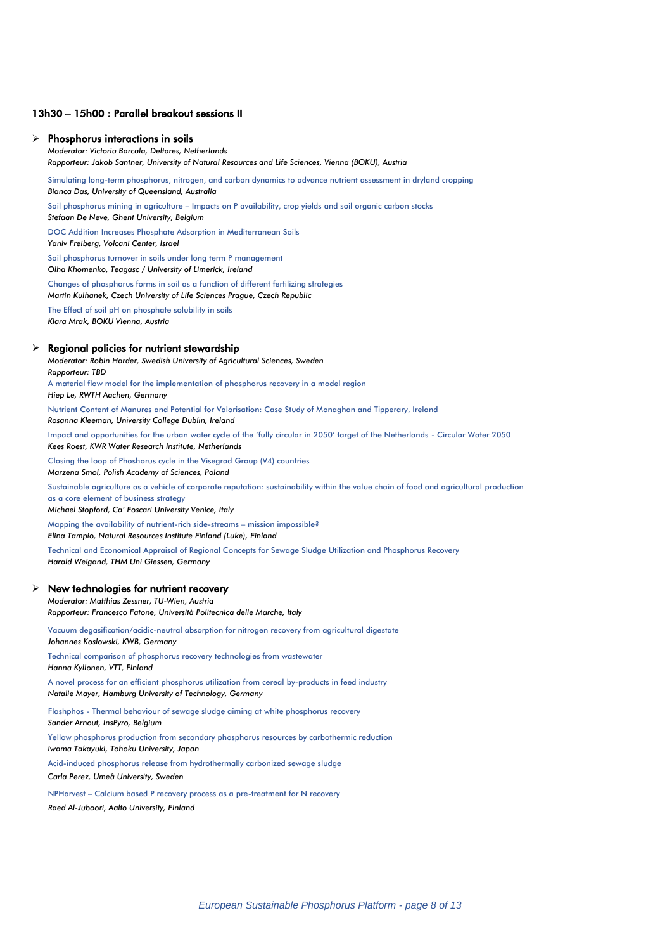### 13h30 – 15h00 : Parallel breakout sessions II

#### ➢ Phosphorus interactions in soils

*Moderator: Victoria Barcala, Deltares, Netherlands Rapporteur: Jakob Santner, University of Natural Resources and Life Sciences, Vienna (BOKU), Austria*

Simulating long-term phosphorus, nitrogen, and carbon dynamics to advance nutrient assessment in dryland cropping *Bianca Das, University of Queensland, Australia*

Soil phosphorus mining in agriculture – Impacts on P availability, crop yields and soil organic carbon stocks

*Stefaan De Neve, Ghent University, Belgium*

DOC Addition Increases Phosphate Adsorption in Mediterranean Soils

*Yaniv Freiberg, Volcani Center, Israel*

Soil phosphorus turnover in soils under long term P management *Olha Khomenko, Teagasc / University of Limerick, Ireland*

Changes of phosphorus forms in soil as a function of different fertilizing strategies *Martin Kulhanek, Czech University of Life Sciences Prague, Czech Republic*

The Effect of soil pH on phosphate solubility in soils *Klara Mrak, BOKU Vienna, Austria*

#### ➢ Regional policies for nutrient stewardship

*Moderator: Robin Harder, Swedish University of Agricultural Sciences, Sweden Rapporteur: TBD* A material flow model for the implementation of phosphorus recovery in a model region

*Hiep Le, RWTH Aachen, Germany*

Nutrient Content of Manures and Potential for Valorisation: Case Study of Monaghan and Tipperary, Ireland *Rosanna Kleeman, University College Dublin, Ireland*

Impact and opportunities for the urban water cycle of the 'fully circular in 2050' target of the Netherlands - Circular Water 2050 *Kees Roest, KWR Water Research Institute, Netherlands*

Closing the loop of Phoshorus cycle in the Visegrad Group (V4) countries *Marzena Smol, Polish Academy of Sciences, Poland*

Sustainable agriculture as a vehicle of corporate reputation: sustainability within the value chain of food and agricultural production as a core element of business strategy

*Michael Stopford, Ca' Foscari University Venice, Italy*

Mapping the availability of nutrient-rich side-streams – mission impossible? *Elina Tampio, Natural Resources Institute Finland (Luke), Finland*

Technical and Economical Appraisal of Regional Concepts for Sewage Sludge Utilization and Phosphorus Recovery *Harald Weigand, THM Uni Giessen, Germany*

#### $\triangleright$  New technologies for nutrient recovery

*Moderator: Matthias Zessner, TU-Wien, Austria Rapporteur: Francesco Fatone, Università Politecnica delle Marche, Italy*

Vacuum degasification/acidic-neutral absorption for nitrogen recovery from agricultural digestate

*Johannes Koslowski, KWB, Germany*

Technical comparison of phosphorus recovery technologies from wastewater *Hanna Kyllonen, VTT, Finland*

A novel process for an efficient phosphorus utilization from cereal by-products in feed industry *Natalie Mayer, Hamburg University of Technology, Germany*

Flashphos - Thermal behaviour of sewage sludge aiming at white phosphorus recovery *Sander Arnout, InsPyro, Belgium*

Yellow phosphorus production from secondary phosphorus resources by carbothermic reduction *Iwama Takayuki, Tohoku University, Japan*

Acid-induced phosphorus release from hydrothermally carbonized sewage sludge *Carla Perez, Umeå University, Sweden*

NPHarvest – Calcium based P recovery process as a pre-treatment for N recovery *Raed Al-Juboori, Aalto University, Finland*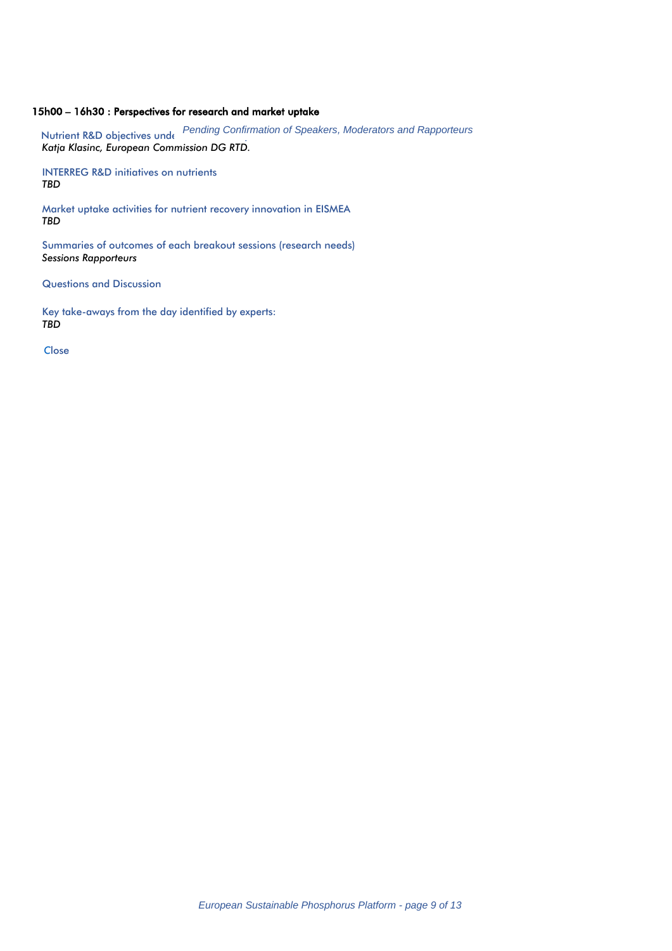### 15h00 – 16h30 : Perspectives for research and market uptake

Nutrient R&D objectives und Fending Confirmation of Speakers, Moderators and Rapporteurs *Katja Klasinc, European Commission DG RTD.*

INTERREG R&D initiatives on nutrients *TBD*

Market uptake activities for nutrient recovery innovation in EISMEA *TBD*

Summaries of outcomes of each breakout sessions (research needs) *Sessions Rapporteurs*

Questions and Discussion

Key take-aways from the day identified by experts: *TBD*

 *C*lose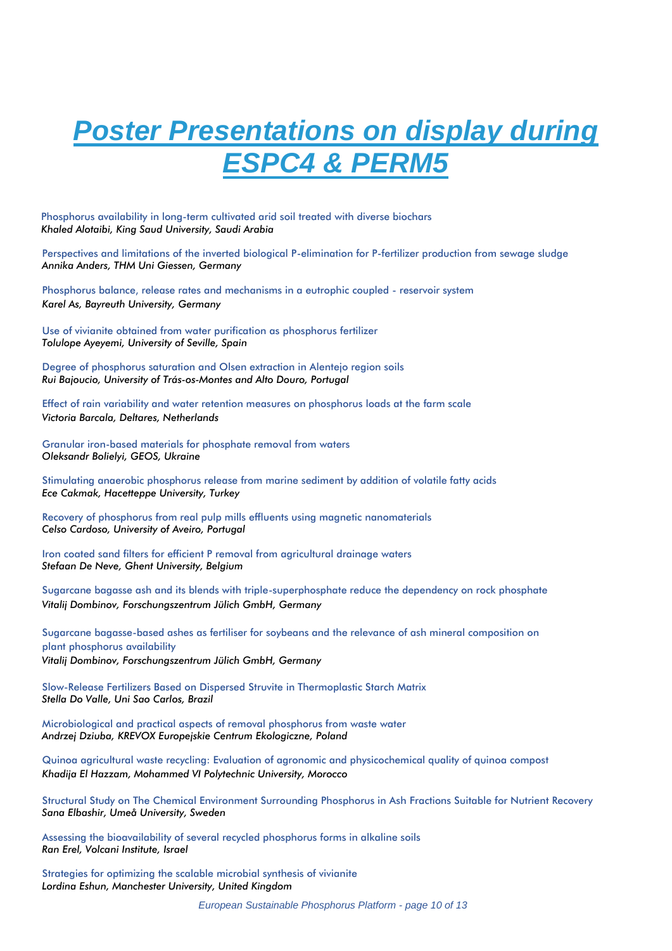# *Poster Presentations on display during*  **ESPC4 & PERN**

 Phosphorus availability in long-term cultivated arid soil treated with diverse biochars *Khaled Alotaibi, King Saud University, Saudi Arabia*

Perspectives and limitations of the inverted biological P-elimination for P-fertilizer production from sewage sludge *Annika Anders, THM Uni Giessen, Germany*

Phosphorus balance, release rates and mechanisms in a eutrophic coupled - reservoir system *Karel As, Bayreuth University, Germany*

Use of vivianite obtained from water purification as phosphorus fertilizer *Tolulope Ayeyemi, University of Seville, Spain*

Degree of phosphorus saturation and Olsen extraction in Alentejo region soils *Rui Bajoucio, University of Trás-os-Montes and Alto Douro, Portugal*

Effect of rain variability and water retention measures on phosphorus loads at the farm scale *Victoria Barcala, Deltares, Netherlands*

Granular iron-based materials for phosphate removal from waters *Oleksandr Bolielyi, GEOS, Ukraine*

Stimulating anaerobic phosphorus release from marine sediment by addition of volatile fatty acids *Ece Cakmak, Hacetteppe University, Turkey*

Recovery of phosphorus from real pulp mills effluents using magnetic nanomaterials *Celso Cardoso, University of Aveiro, Portugal*

Iron coated sand filters for efficient P removal from agricultural drainage waters *Stefaan De Neve, Ghent University, Belgium*

Sugarcane bagasse ash and its blends with triple-superphosphate reduce the dependency on rock phosphate *Vitalij Dombinov, Forschungszentrum Jülich GmbH, Germany*

Sugarcane bagasse-based ashes as fertiliser for soybeans and the relevance of ash mineral composition on plant phosphorus availability *Vitalij Dombinov, Forschungszentrum Jülich GmbH, Germany*

Slow-Release Fertilizers Based on Dispersed Struvite in Thermoplastic Starch Matrix *Stella Do Valle, Uni Sao Carlos, Brazil*

Microbiological and practical aspects of removal phosphorus from waste water *Andrzej Dziuba, KREVOX Europejskie Centrum Ekologiczne, Poland*

Quinoa agricultural waste recycling: Evaluation of agronomic and physicochemical quality of quinoa compost *Khadija El Hazzam, Mohammed VI Polytechnic University, Morocco*

Structural Study on The Chemical Environment Surrounding Phosphorus in Ash Fractions Suitable for Nutrient Recovery *Sana Elbashir, Umeå University, Sweden*

Assessing the bioavailability of several recycled phosphorus forms in alkaline soils *Ran Erel, Volcani Institute, Israel*

Strategies for optimizing the scalable microbial synthesis of vivianite *Lordina Eshun, Manchester University, United Kingdom*

 *European Sustainable Phosphorus Platform - page 10 of 13*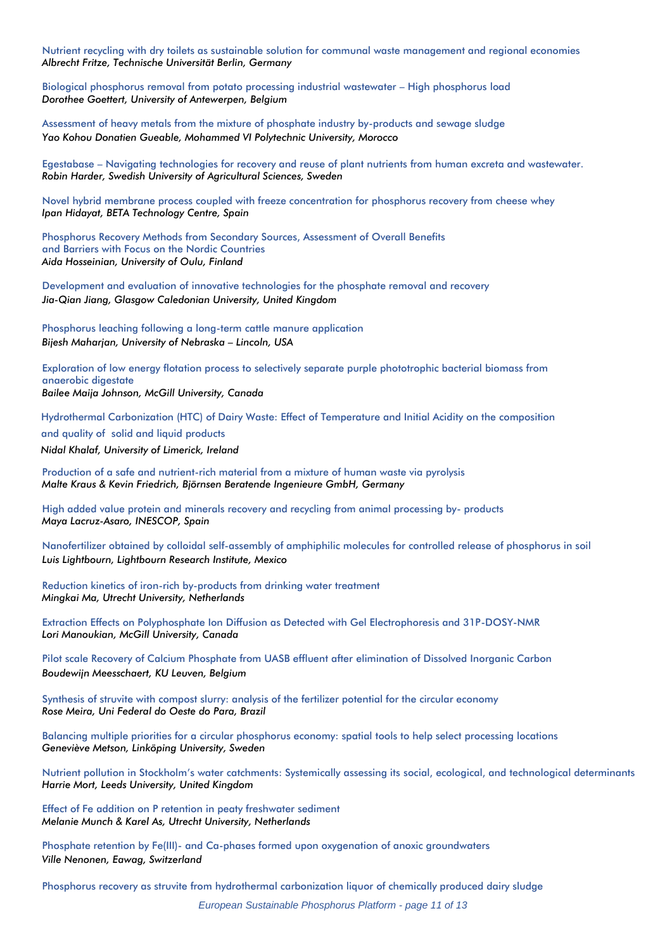Nutrient recycling with dry toilets as sustainable solution for communal waste management and regional economies *Albrecht Fritze, Technische Universität Berlin, Germany*

Biological phosphorus removal from potato processing industrial wastewater – High phosphorus load *Dorothee Goettert, University of Antewerpen, Belgium*

Assessment of heavy metals from the mixture of phosphate industry by-products and sewage sludge *Yao Kohou Donatien Gueable, Mohammed VI Polytechnic University, Morocco*

Egestabase – Navigating technologies for recovery and reuse of plant nutrients from human excreta and wastewater. *Robin Harder, Swedish University of Agricultural Sciences, Sweden*

Novel hybrid membrane process coupled with freeze concentration for phosphorus recovery from cheese whey *Ipan Hidayat, BETA Technology Centre, Spain*

Phosphorus Recovery Methods from Secondary Sources, Assessment of Overall Benefits and Barriers with Focus on the Nordic Countries *Aida Hosseinian, University of Oulu, Finland*

Development and evaluation of innovative technologies for the phosphate removal and recovery *Jia-Qian Jiang, Glasgow Caledonian University, United Kingdom*

Phosphorus leaching following a long-term cattle manure application *Bijesh Maharjan, University of Nebraska – Lincoln, USA*

Exploration of low energy flotation process to selectively separate purple phototrophic bacterial biomass from anaerobic digestate *Bailee Maija Johnson, McGill University, Canada*

 Hydrothermal Carbonization (HTC) of Dairy Waste: Effect of Temperature and Initial Acidity on the composition and quality of solid and liquid products  *Nidal Khalaf, University of Limerick, Ireland*

Production of a safe and nutrient-rich material from a mixture of human waste via pyrolysis *Malte Kraus & Kevin Friedrich, Björnsen Beratende Ingenieure GmbH, Germany* 

High added value protein and minerals recovery and recycling from animal processing by- products *Maya Lacruz-Asaro, INESCOP, Spain*

Nanofertilizer obtained by colloidal self-assembly of amphiphilic molecules for controlled release of phosphorus in soil *Luis Lightbourn, Lightbourn Research Institute, Mexico*

Reduction kinetics of iron-rich by-products from drinking water treatment *Mingkai Ma, Utrecht University, Netherlands*

Extraction Effects on Polyphosphate Ion Diffusion as Detected with Gel Electrophoresis and 31P-DOSY-NMR *Lori Manoukian, McGill University, Canada*

Pilot scale Recovery of Calcium Phosphate from UASB effluent after elimination of Dissolved Inorganic Carbon *Boudewijn Meesschaert, KU Leuven, Belgium*

Synthesis of struvite with compost slurry: analysis of the fertilizer potential for the circular economy *Rose Meira, Uni Federal do Oeste do Para, Brazil*

Balancing multiple priorities for a circular phosphorus economy: spatial tools to help select processing locations *Geneviève Metson, Linköping University, Sweden*

Nutrient pollution in Stockholm's water catchments: Systemically assessing its social, ecological, and technological determinants *Harrie Mort, Leeds University, United Kingdom*

Effect of Fe addition on P retention in peaty freshwater sediment *Melanie Munch & Karel As, Utrecht University, Netherlands*

Phosphate retention by Fe(III)- and Ca-phases formed upon oxygenation of anoxic groundwaters *Ville Nenonen, Eawag, Switzerland* 

Phosphorus recovery as struvite from hydrothermal carbonization liquor of chemically produced dairy sludge

 *European Sustainable Phosphorus Platform - page 11 of 13*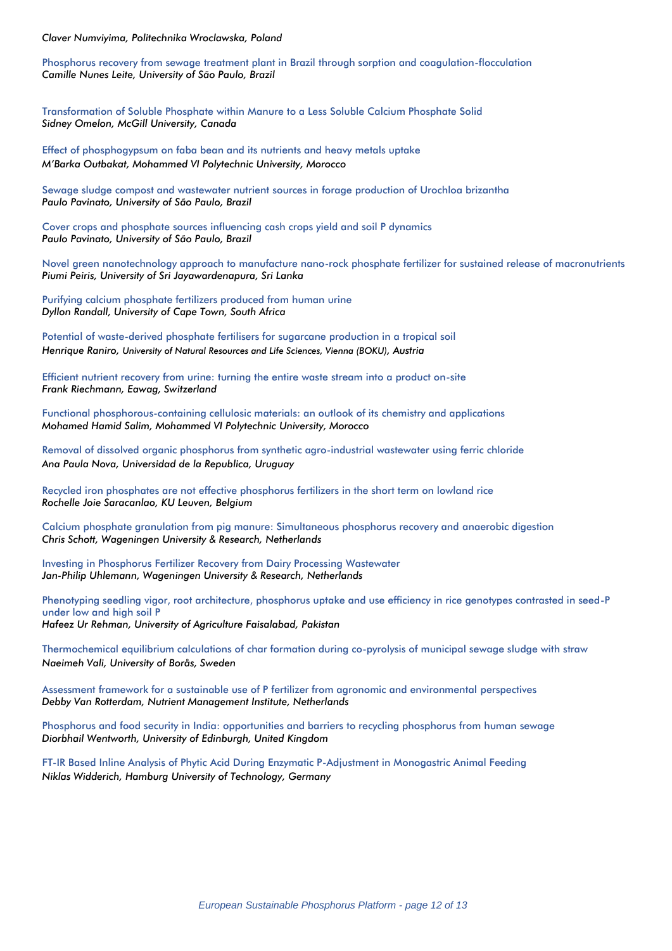*Claver Numviyima, Politechnika Wroclawska, Poland*

Phosphorus recovery from sewage treatment plant in Brazil through sorption and coagulation-flocculation *Camille Nunes Leite, University of São Paulo, Brazil*

Transformation of Soluble Phosphate within Manure to a Less Soluble Calcium Phosphate Solid *Sidney Omelon, McGill University, Canada*

Effect of phosphogypsum on faba bean and its nutrients and heavy metals uptake *M'Barka Outbakat, Mohammed VI Polytechnic University, Morocco*

Sewage sludge compost and wastewater nutrient sources in forage production of Urochloa brizantha *Paulo Pavinato, University of São Paulo, Brazil*

Cover crops and phosphate sources influencing cash crops yield and soil P dynamics *Paulo Pavinato, University of São Paulo, Brazil*

Novel green nanotechnology approach to manufacture nano-rock phosphate fertilizer for sustained release of macronutrients *Piumi Peiris, University of Sri Jayawardenapura, Sri Lanka*

Purifying calcium phosphate fertilizers produced from human urine *Dyllon Randall, University of Cape Town, South Africa*

Potential of waste-derived phosphate fertilisers for sugarcane production in a tropical soil *Henrique Raniro, University of Natural Resources and Life Sciences, Vienna (BOKU), Austria*

Efficient nutrient recovery from urine: turning the entire waste stream into a product on-site *Frank Riechmann, Eawag, Switzerland* 

Functional phosphorous-containing cellulosic materials: an outlook of its chemistry and applications *Mohamed Hamid Salim, Mohammed VI Polytechnic University, Morocco* 

Removal of dissolved organic phosphorus from synthetic agro-industrial wastewater using ferric chloride *Ana Paula Nova, Universidad de la Republica, Uruguay*

Recycled iron phosphates are not effective phosphorus fertilizers in the short term on lowland rice *Rochelle Joie Saracanlao, KU Leuven, Belgium*

Calcium phosphate granulation from pig manure: Simultaneous phosphorus recovery and anaerobic digestion *Chris Schott, Wageningen University & Research, Netherlands*

Investing in Phosphorus Fertilizer Recovery from Dairy Processing Wastewater *Jan-Philip Uhlemann, Wageningen University & Research, Netherlands*

Phenotyping seedling vigor, root architecture, phosphorus uptake and use efficiency in rice genotypes contrasted in seed-P under low and high soil P *Hafeez Ur Rehman, University of Agriculture Faisalabad, Pakistan*

Thermochemical equilibrium calculations of char formation during co-pyrolysis of municipal sewage sludge with straw *Naeimeh Vali, University of Borås, Sweden*

Assessment framework for a sustainable use of P fertilizer from agronomic and environmental perspectives *Debby Van Rotterdam, Nutrient Management Institute, Netherlands*

Phosphorus and food security in India: opportunities and barriers to recycling phosphorus from human sewage *Diorbhail Wentworth, University of Edinburgh, United Kingdom*

FT-IR Based Inline Analysis of Phytic Acid During Enzymatic P-Adjustment in Monogastric Animal Feeding *Niklas Widderich, Hamburg University of Technology, Germany*